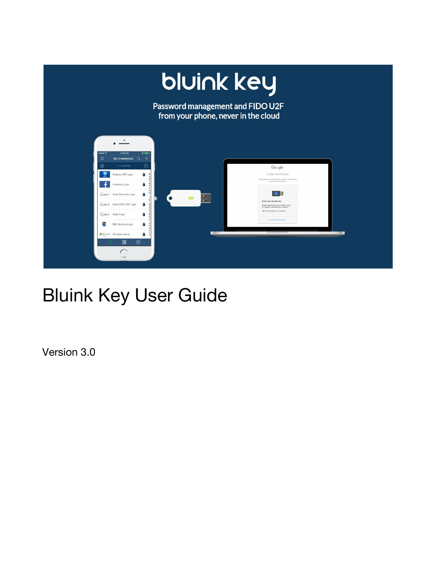

# Bluink Key User Guide

Version 3.0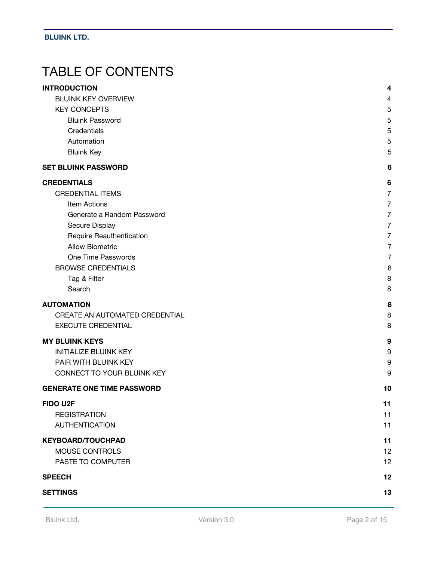# TABLE OF CONTENTS

| <b>INTRODUCTION</b>               | 4                |
|-----------------------------------|------------------|
| <b>BLUINK KEY OVERVIEW</b>        | $\overline{4}$   |
| <b>KEY CONCEPTS</b>               | 5                |
| <b>Bluink Password</b>            | 5                |
| Credentials                       | 5                |
| Automation                        | 5                |
| <b>Bluink Key</b>                 | 5                |
| <b>SET BLUINK PASSWORD</b>        | $6\phantom{1}6$  |
| <b>CREDENTIALS</b>                | 6                |
| <b>CREDENTIAL ITEMS</b>           | $\overline{7}$   |
| Item Actions                      | $\overline{7}$   |
| Generate a Random Password        | $\overline{7}$   |
| Secure Display                    | $\overline{7}$   |
| Require Reauthentication          | 7                |
| <b>Allow Biometric</b>            | $\overline{7}$   |
| One Time Passwords                | $\overline{7}$   |
| <b>BROWSE CREDENTIALS</b>         | 8                |
| Tag & Filter                      | 8                |
| Search                            | 8                |
| <b>AUTOMATION</b>                 | 8                |
| CREATE AN AUTOMATED CREDENTIAL    | 8                |
| <b>EXECUTE CREDENTIAL</b>         | 8                |
| <b>MY BLUINK KEYS</b>             | 9                |
| <b>INITIALIZE BLUINK KEY</b>      | 9                |
| PAIR WITH BLUINK KEY              | $\boldsymbol{9}$ |
| CONNECT TO YOUR BLUINK KEY        | 9                |
| <b>GENERATE ONE TIME PASSWORD</b> | 10               |
| <b>FIDO U2F</b>                   | 11               |
| <b>REGISTRATION</b>               | 11               |
| <b>AUTHENTICATION</b>             | 11               |
| <b>KEYBOARD/TOUCHPAD</b>          | 11               |
| MOUSE CONTROLS                    | 12               |
| PASTE TO COMPUTER                 | 12               |
| <b>SPEECH</b>                     | 12               |
| <b>SETTINGS</b>                   | 13               |
|                                   |                  |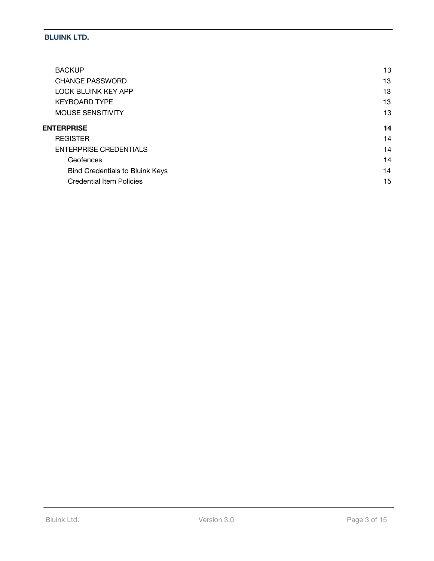| <b>BACKUP</b>                          | 13 |
|----------------------------------------|----|
| <b>CHANGE PASSWORD</b>                 | 13 |
| <b>LOCK BLUINK KEY APP</b>             | 13 |
| <b>KEYBOARD TYPE</b>                   | 13 |
| <b>MOUSE SENSITIVITY</b>               | 13 |
| <b>ENTERPRISE</b>                      | 14 |
| <b>REGISTER</b>                        | 14 |
| <b>ENTERPRISE CREDENTIALS</b>          | 14 |
| Geofences                              | 14 |
| <b>Bind Credentials to Bluink Keys</b> | 14 |
| <b>Credential Item Policies</b>        | 15 |
|                                        |    |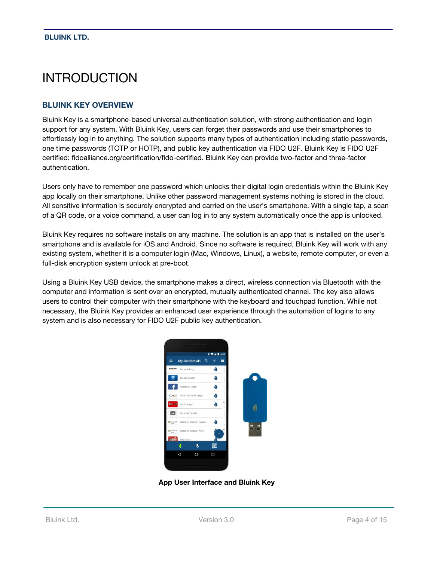# <span id="page-3-1"></span>INTRODUCTION

#### <span id="page-3-0"></span>**BLUINK KEY OVERVIEW**

Bluink Key is a smartphone-based universal authentication solution, with strong authentication and login support for any system. With Bluink Key, users can forget their passwords and use their smartphones to effortlessly log in to anything. The solution supports many types of authentication including static passwords, one time passwords (TOTP or HOTP), and public key authentication via FIDO U2F. Bluink Key is FIDO U2F certified: fidoalliance.org/certification/fido-certified. Bluink Key can provide two-factor and three-factor authentication.

Users only have to remember one password which unlocks their digital login credentials within the Bluink Key app locally on their smartphone. Unlike other password management systems nothing is stored in the cloud. All sensitive information is securely encrypted and carried on the user's smartphone. With a single tap, a scan of a QR code, or a voice command, a user can log in to any system automatically once the app is unlocked.

Bluink Key requires no software installs on any machine. The solution is an app that is installed on the user's smartphone and is available for iOS and Android. Since no software is required, Bluink Key will work with any existing system, whether it is a computer login (Mac, Windows, Linux), a website, remote computer, or even a full-disk encryption system unlock at pre-boot.

Using a Bluink Key USB device, the smartphone makes a direct, wireless connection via Bluetooth with the computer and information is sent over an encrypted, mutually authenticated channel. The key also allows users to control their computer with their smartphone with the keyboard and touchpad function. While not necessary, the Bluink Key provides an enhanced user experience through the automation of logins to any system and is also necessary for FIDO U2F public key authentication.



**App User Interface and Bluink Ke[y](https://youtu.be/EJN9L5PmZbk)**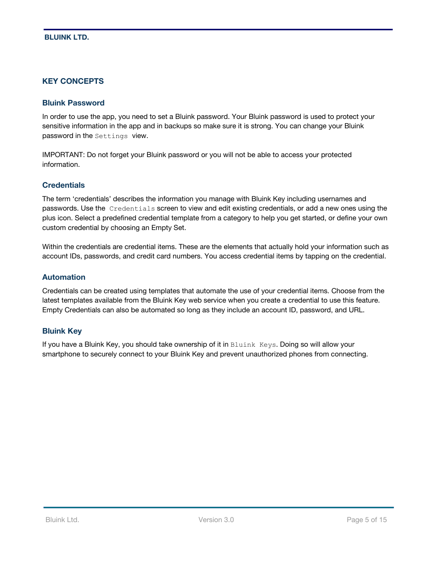#### <span id="page-4-0"></span>**KEY [CONCEPTS](https://youtu.be/EJN9L5PmZbk)**

#### <span id="page-4-3"></span>**Bluink Password**

In order to use the app, you need to set a Bluink password. Your Bluink password is used to protect your sensitive information in the app and in backups so make sure it is strong. You can change your Bluink password in the Settings view.

IMPORTANT: Do not forget your Bluink password or you will not be able to access your protected information.

#### <span id="page-4-1"></span>**Credentials**

The term 'credentials' describes the information you manage with Bluink Key including usernames and passwords. Use the Credentials screen to view and edit existing credentials, or add a new ones using the plus icon. Select a predefined credential template from a category to help you get started, or define your own custom credential by choosing an Empty Set.

Within the credentials are credential items. These are the elements that actually hold your information such as account IDs, passwords, and credit card numbers. You access credential items by tapping on the credential.

#### <span id="page-4-4"></span>**Automation**

Credentials can be created using templates that automate the use of your credential items. Choose from the latest templates available from the Bluink Key web service when you create a credential to use this feature. Empty Credentials can also be automated so long as they include an account ID, password, and URL.

#### <span id="page-4-2"></span>**Bluink Key**

If you have a Bluink Key, you should take ownership of it in Bluink Keys. Doing so will allow your smartphone to securely connect to your Bluink Key and prevent unauthorized phones from connecting.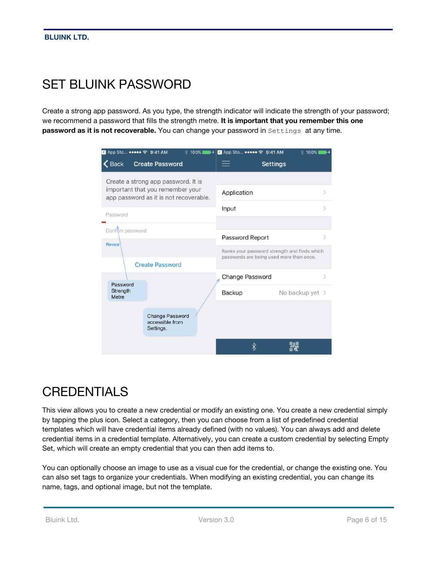# <span id="page-5-1"></span>SET BLUINK PASSWORD

Create a strong app password. As you type, the strength indicator will indicate the strength of your password; we recommend a password that fills the strength metre. **It is important that you remember this one password as it is not recoverable.** You can change your password in Settings at any time.

| SApp Sto ●●●●● → 9:41 AM                                                   | * 100%                                                 | <b>4</b> App Sto ●●●●●● 令 9:41 AM                                                        |                 | ☆ 100%        |
|----------------------------------------------------------------------------|--------------------------------------------------------|------------------------------------------------------------------------------------------|-----------------|---------------|
| $\leq$ Back                                                                | <b>Create Password</b>                                 |                                                                                          | <b>Settings</b> |               |
|                                                                            | Create a strong app password. It is                    |                                                                                          |                 |               |
| important that you remember your<br>app password as it is not recoverable. |                                                        | Application                                                                              |                 | $\mathcal{P}$ |
| Password                                                                   |                                                        | Input                                                                                    |                 |               |
| Confirm password                                                           |                                                        |                                                                                          |                 |               |
|                                                                            |                                                        | Password Report                                                                          |                 | ).            |
| Reveal                                                                     |                                                        | Ranks your password strength and finds which<br>passwords are being used more than once. |                 |               |
|                                                                            | <b>Create Password</b>                                 |                                                                                          |                 |               |
|                                                                            |                                                        | Change Password                                                                          |                 | $\geq$        |
| Password<br>Strength<br>Metre                                              |                                                        | Backup                                                                                   | No backup yet > |               |
|                                                                            | <b>Change Password</b><br>accessible from<br>Settings. |                                                                                          |                 |               |
|                                                                            |                                                        | ∦                                                                                        |                 |               |

# <span id="page-5-0"></span>**CREDENTIALS**

This view allows you to create a new credential or modify an existing one. You create a new credential simply by tapping the plus icon. Select a category, then you can choose from a list of predefined credential templates which will have credential items already defined (with no values). You can always add and delete credential items in a credential template. Alternatively, you can create a custom credential by selecting Empty Set, which will create an empty credential that you can then add items to.

You can optionally choose an image to use as a visual cue for the credential, or change the existing one. You can also set tags to organize your credentials. When modifying an existing credential, you can change its name, tags, and optional image, but not the template.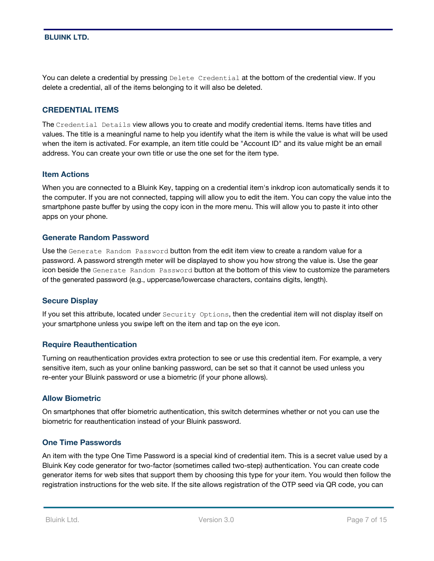You can delete a credential by pressing Delete Credential at the bottom of the credential view. If you delete a credential, all of the items belonging to it will also be deleted.

#### <span id="page-6-3"></span>**CREDENTIAL ITEMS**

The Credential Details view allows you to create and modify credential items. Items have titles and values. The title is a meaningful name to help you identify what the item is while the value is what will be used when the item is activated. For example, an item title could be "Account ID" and its value might be an email address. You can create your own title or use the one set for the item type.

#### <span id="page-6-2"></span>**Item Actions**

When you are connected to a Bluink Key, tapping on a credential item's inkdrop icon automatically sends it to the computer. If you are not connected, tapping will allow you to edit the item. You can copy the value into the smartphone paste buffer by using the copy icon in the more menu. This will allow you to paste it into other apps on your phone.

#### <span id="page-6-5"></span>**Generate Random Password**

Use the Generate Random Password button from the edit item view to create a random value for a password. A password strength meter will be displayed to show you how strong the value is. Use the gear icon beside the Generate Random Password button at the bottom of this view to customize the parameters of the generated password (e.g., uppercase/lowercase characters, contains digits, length).

#### <span id="page-6-0"></span>**Secure Display**

If you set this attribute, located under Security Options, then the credential item will not display itself on your smartphone unless you swipe left on the item and tap on the eye icon.

#### <span id="page-6-4"></span>**Require Reauthentication**

Turning on reauthentication provides extra protection to see or use this credential item. For example, a very sensitive item, such as your online banking password, can be set so that it cannot be used unless you re-enter your Bluink password or use a biometric (if your phone allows).

#### <span id="page-6-1"></span>**Allow Biometric**

On smartphones that offer biometric authentication, this switch determines whether or not you can use the biometric for reauthentication instead of your Bluink password.

#### <span id="page-6-6"></span>**One Time Passwords**

An item with the type One Time Password is a special kind of credential item. This is a secret value used by a Bluink Key code generator for two-factor (sometimes called two-step) authentication. You can create code generator items for web sites that support them by choosing this type for your item. You would then follow the registration instructions for the web site. If the site allows registration of the OTP seed via QR code, you can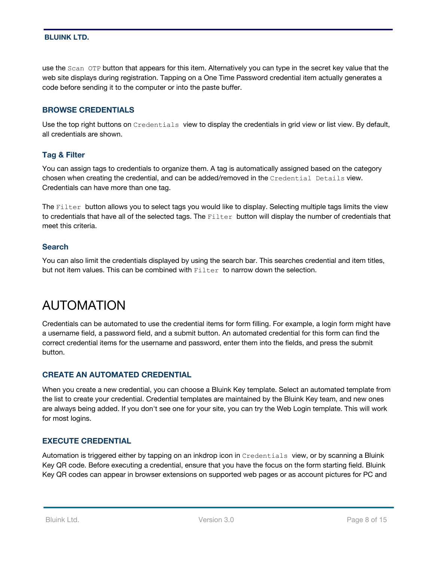use the Scan OTP button that appears for this item. Alternatively you can type in the secret key value that the web site displays during registration. Tapping on a One Time Password credential item actually generates a code before sending it to the computer or into the paste buffer.

#### <span id="page-7-2"></span>**BROWSE CREDENTIALS**

Use the top right buttons on Credentials view to display the credentials in grid view or list view. By default, all credentials are shown.

#### <span id="page-7-5"></span>**Tag & Filter**

You can assign tags to credentials to organize them. A tag is automatically assigned based on the category chosen when creating the credential, and can be added/removed in the Credential Details view. Credentials can have more than one tag.

The Filter button allows you to select tags you would like to display. Selecting multiple tags limits the view to credentials that have all of the selected tags. The Filter button will display the number of credentials that meet this criteria.

#### <span id="page-7-4"></span>**Search**

You can also limit the credentials displayed by using the search bar. This searches credential and item titles, but not item values. This can be combined with  $Filter$  to narrow down the selection.

# <span id="page-7-3"></span>AUTOMATION

Credentials can be automated to use the credential items for form filling. For example, a login form might have a username field, a password field, and a submit button. An automated credential for this form can find the correct credential items for the username and password, enter them into the fields, and press the submit button.

#### <span id="page-7-1"></span>**CREATE AN AUTOMATED CREDENTIAL**

When you create a new credential, you can choose a Bluink Key template. Select an automated template from the list to create your credential. Credential templates are maintained by the Bluink Key team, and new ones are always being added. If you don't see one for your site, you can try the Web Login template. This will work for most logins.

#### <span id="page-7-0"></span>**EXECUTE CREDENTIAL**

Automation is triggered either by tapping on an inkdrop icon in Credentials view, or by scanning a Bluink Key QR code. Before executing a credential, ensure that you have the focus on the form starting field. Bluink Key QR codes can appear in browser extensions on supported web pages or as account pictures for PC and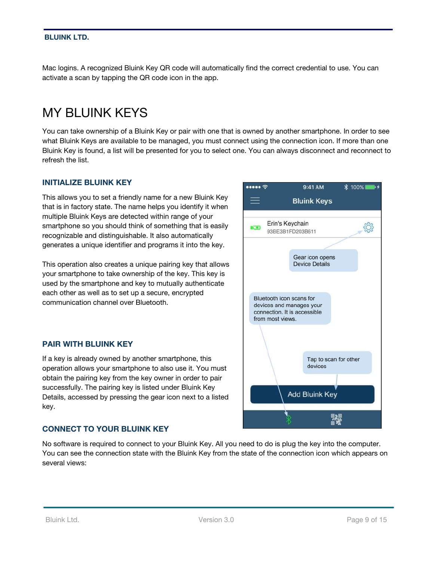Mac logins. A recognized Bluink Key QR code will automatically find the correct credential to use. You can activate a scan by tapping the QR code icon in the app.

### <span id="page-8-1"></span>MY BLUINK KEYS

You can take ownership of a Bluink Key or pair with one that is owned by another smartphone. In order to see what Bluink Keys are available to be managed, you must connect using the connection icon. If more than one Bluink Key is found, a list will be presented for you to select one. You can always disconnect and reconnect to refresh the list.

#### <span id="page-8-3"></span>**INITIALIZE BLUINK KEY**

This allows you to set a friendly name for a new Bluink Key that is in factory state. The name helps you identify it when multiple Bluink Keys are detected within range of your smartphone so you should think of something that is easily recognizable and distinguishable. It also automatically generates a unique identifier and programs it into the key.

This operation also creates a unique pairing key that allows your smartphone to take ownership of the key. This key is used by the smartphone and key to mutually authenticate each other as well as to set up a secure, encrypted communication channel over Bluetooth.

#### <span id="page-8-0"></span>**PAIR WITH BLUINK KEY**

If a key is already owned by another smartphone, this operation allows your smartphone to also use it. You must obtain the pairing key from the key owner in order to pair successfully. The pairing key is listed under Bluink Key Details, accessed by pressing the gear icon next to a listed key.

#### <span id="page-8-2"></span>**CONNECT TO YOUR BLUINK KEY**

No software is required to connect to your Bluink Key. All you need to do is plug the key into the computer. You can see the connection state with the Bluink Key from the state of the connection icon which appears on several views:

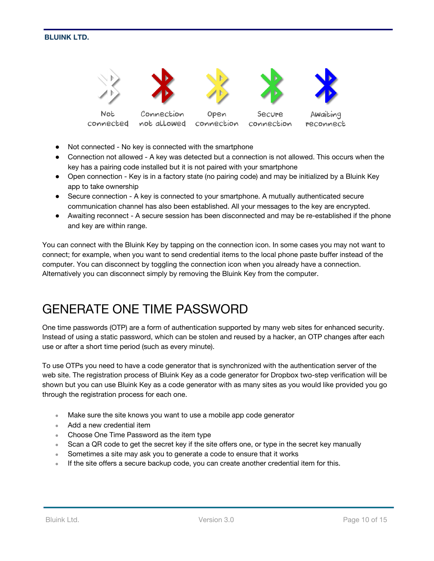

connected

not allowed

connection connection

Awaiting reconnect

- Not connected No key is connected with the smartphone
- Connection not allowed A key was detected but a connection is not allowed. This occurs when the key has a pairing code installed but it is not paired with your smartphone
- Open connection Key is in a factory state (no pairing code) and may be initialized by a Bluink Key app to take ownership
- Secure connection A key is connected to your smartphone. A mutually authenticated secure communication channel has also been established. All your messages to the key are encrypted.
- Awaiting reconnect A secure session has been disconnected and may be re-established if the phone and key are within range.

You can connect with the Bluink Key by tapping on the connection icon. In some cases you may not want to connect; for example, when you want to send credential items to the local phone paste buffer instead of the computer. You can disconnect by toggling the connection icon when you already have a connection. Alternatively you can disconnect simply by removing the Bluink Key from the computer.

### <span id="page-9-0"></span>GENERATE ONE TIME PASSWORD

One time passwords (OTP) are a form of authentication supported by many web sites for enhanced security. Instead of using a static password, which can be stolen and reused by a hacker, an OTP changes after each use or after a short time period (such as every minute).

To use OTPs you need to have a code generator that is synchronized with the authentication server of the web site. The registration process of Bluink Key as a code generator for Dropbox two-step verification will be shown but you can use Bluink Key as a code generator with as many sites as you would like provided you go through the registration process for each one.

- Make sure the site knows you want to use a mobile app code generator
- Add a new credential item
- Choose One Time Password as the item type
- Scan a QR code to get the secret key if the site offers one, or type in the secret key manually
- Sometimes a site may ask you to generate a code to ensure that it works
- If the site offers a secure backup code, you can create another credential item for this.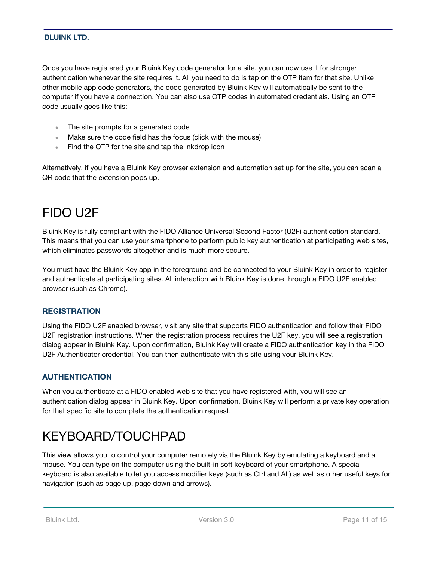Once you have registered your Bluink Key code generator for a site, you can now use it for stronger authentication whenever the site requires it. All you need to do is tap on the OTP item for that site. Unlike other mobile app code generators, the code generated by Bluink Key will automatically be sent to the computer if you have a connection. You can also use OTP codes in automated credentials. Using an OTP code usually goes like this:

- The site prompts for a generated code
- Make sure the code field has the focus (click with the mouse)
- Find the OTP for the site and tap the inkdrop icon

Alternatively, if you have a Bluink Key browser extension and automation set up for the site, you can scan a QR code that the extension pops up.

# <span id="page-10-3"></span>FIDO U2F

Bluink Key is fully compliant with the FIDO Alliance Universal Second Factor (U2F) authentication standard. This means that you can use your smartphone to perform public key authentication at participating web sites, which eliminates passwords altogether and is much more secure.

You must have the Bluink Key app in the foreground and be connected to your Bluink Key in order to register and authenticate at participating sites. All interaction with Bluink Key is done through a FIDO U2F enabled browser (such as Chrome).

#### <span id="page-10-2"></span>**REGISTRATION**

Using the FIDO U2F enabled browser, visit any site that supports FIDO authentication and follow their FIDO U2F registration instructions. When the registration process requires the U2F key, you will see a registration dialog appear in Bluink Key. Upon confirmation, Bluink Key will create a FIDO authentication key in the FIDO U2F Authenticator credential. You can then authenticate with this site using your Bluink Key.

#### <span id="page-10-1"></span>**AUTHENTICATION**

When you authenticate at a FIDO enabled web site that you have registered with, you will see an authentication dialog appear in Bluink Key. Upon confirmation, Bluink Key will perform a private key operation for that specific site to complete the authentication request.

# <span id="page-10-0"></span>KEYBOARD/TOUCHPAD

This view allows you to control your computer remotely via the Bluink Key by emulating a keyboard and a mouse. You can type on the computer using the built-in soft keyboard of your smartphone. A special keyboard is also available to let you access modifier keys (such as Ctrl and Alt) as well as other useful keys for navigation (such as page up, page down and arrows).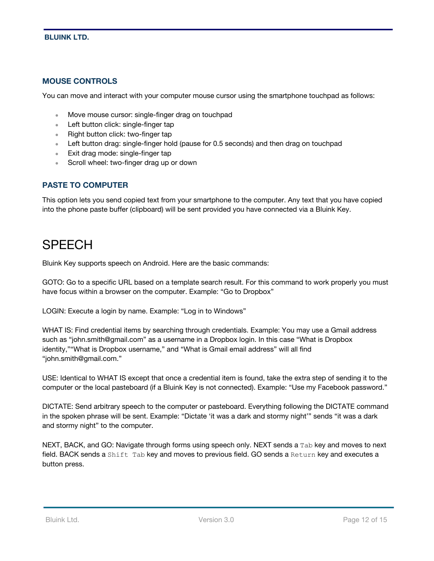#### <span id="page-11-1"></span>**MOUSE CONTROLS**

You can move and interact with your computer mouse cursor using the smartphone touchpad as follows:

- Move mouse cursor: single-finger drag on touchpad
- Left button click: single-finger tap
- Right button click: two-finger tap
- Left button drag: single-finger hold (pause for 0.5 seconds) and then drag on touchpad
- Exit drag mode: single-finger tap
- Scroll wheel: two-finger drag up or down

#### <span id="page-11-0"></span>**PASTE TO COMPUTER**

This option lets you send copied text from your smartphone to the computer. Any text that you have copied into the phone paste buffer (clipboard) will be sent provided you have connected via a Bluink Key.

### <span id="page-11-2"></span>**SPFFCH**

Bluink Key supports speech on Android. Here are the basic commands:

GOTO: Go to a specific URL based on a template search result. For this command to work properly you must have focus within a browser on the computer. Example: "Go to Dropbox"

LOGIN: Execute a login by name. Example: "Log in to Windows"

WHAT IS: Find credential items by searching through credentials. Example: You may use a Gmail address such as "john.smith@gmail.com" as a username in a Dropbox login. In this case "What is Dropbox identity,""What is Dropbox username," and "What is Gmail email address" will all find "john.smith@gmail.com."

USE: Identical to WHAT IS except that once a credential item is found, take the extra step of sending it to the computer or the local pasteboard (if a Bluink Key is not connected). Example: "Use my Facebook password."

DICTATE: Send arbitrary speech to the computer or pasteboard. Everything following the DICTATE command in the spoken phrase will be sent. Example: "Dictate 'it was a dark and stormy night'" sends "it was a dark and stormy night" to the computer.

NEXT, BACK, and GO: Navigate through forms using speech only. NEXT sends a Tab key and moves to next field. BACK sends a Shift Tab key and moves to previous field. GO sends a Return key and executes a button press.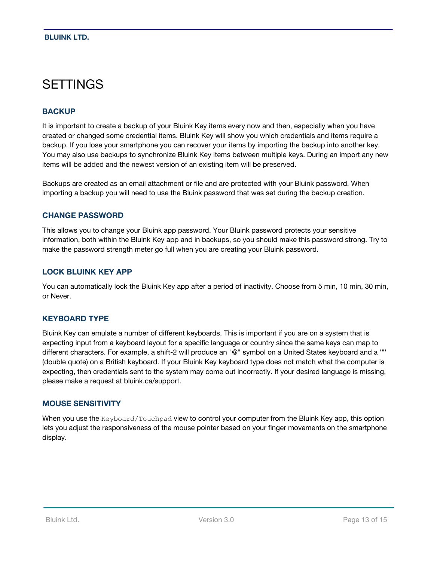### <span id="page-12-0"></span>**SETTINGS**

#### <span id="page-12-5"></span>**BACKUP**

It is important to create a backup of your Bluink Key items every now and then, especially when you have created or changed some credential items. Bluink Key will show you which credentials and items require a backup. If you lose your smartphone you can recover your items by importing the backup into another key. You may also use backups to synchronize Bluink Key items between multiple keys. During an import any new items will be added and the newest version of an existing item will be preserved.

Backups are created as an email attachment or file and are protected with your Bluink password. When importing a backup you will need to use the Bluink password that was set during the backup creation.

#### <span id="page-12-2"></span>**CHANGE PASSWORD**

This allows you to change your Bluink app password. Your Bluink password protects your sensitive information, both within the Bluink Key app and in backups, so you should make this password strong. Try to make the password strength meter go full when you are creating your Bluink password.

#### <span id="page-12-1"></span>**LOCK BLUINK KEY APP**

You can automatically lock the Bluink Key app after a period of inactivity. Choose from 5 min, 10 min, 30 min, or Never.

#### <span id="page-12-4"></span>**KEYBOARD TYPE**

Bluink Key can emulate a number of different keyboards. This is important if you are on a system that is expecting input from a keyboard layout for a specific language or country since the same keys can map to different characters. For example, a shift-2 will produce an "@" symbol on a United States keyboard and a '"' (double quote) on a British keyboard. If your Bluink Key keyboard type does not match what the computer is expecting, then credentials sent to the system may come out incorrectly. If your desired language is missing, please make a request at bluink.ca/support.

#### <span id="page-12-3"></span>**MOUSE SENSITIVITY**

When you use the Keyboard/Touchpad view to control your computer from the Bluink Key app, this option lets you adjust the responsiveness of the mouse pointer based on your finger movements on the smartphone display.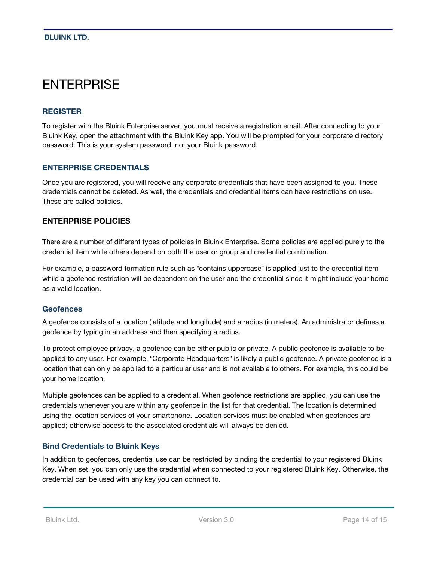### <span id="page-13-3"></span>**ENTERPRISE**

#### <span id="page-13-4"></span>**REGISTER**

To register with the Bluink Enterprise server, you must receive a registration email. After connecting to your Bluink Key, open the attachment with the Bluink Key app. You will be prompted for your corporate directory password. This is your system password, not your Bluink password.

#### <span id="page-13-1"></span>**ENTERPRISE CREDENTIALS**

Once you are registered, you will receive any corporate credentials that have been assigned to you. These credentials cannot be deleted. As well, the credentials and credential items can have restrictions on use. These are called policies.

#### **ENTERPRISE POLICIES**

There are a number of different types of policies in Bluink Enterprise. Some policies are applied purely to the credential item while others depend on both the user or group and credential combination.

For example, a password formation rule such as "contains uppercase" is applied just to the credential item while a geofence restriction will be dependent on the user and the credential since it might include your home as a valid location.

#### <span id="page-13-2"></span>**Geofences**

A geofence consists of a location (latitude and longitude) and a radius (in meters). An administrator defines a geofence by typing in an address and then specifying a radius.

To protect employee privacy, a geofence can be either public or private. A public geofence is available to be applied to any user. For example, "Corporate Headquarters" is likely a public geofence. A private geofence is a location that can only be applied to a particular user and is not available to others. For example, this could be your home location.

Multiple geofences can be applied to a credential. When geofence restrictions are applied, you can use the credentials whenever you are within any geofence in the list for that credential. The location is determined using the location services of your smartphone. Location services must be enabled when geofences are applied; otherwise access to the associated credentials will always be denied.

#### <span id="page-13-0"></span>**Bind Credentials to Bluink Keys**

In addition to geofences, credential use can be restricted by binding the credential to your registered Bluink Key. When set, you can only use the credential when connected to your registered Bluink Key. Otherwise, the credential can be used with any key you can connect to.